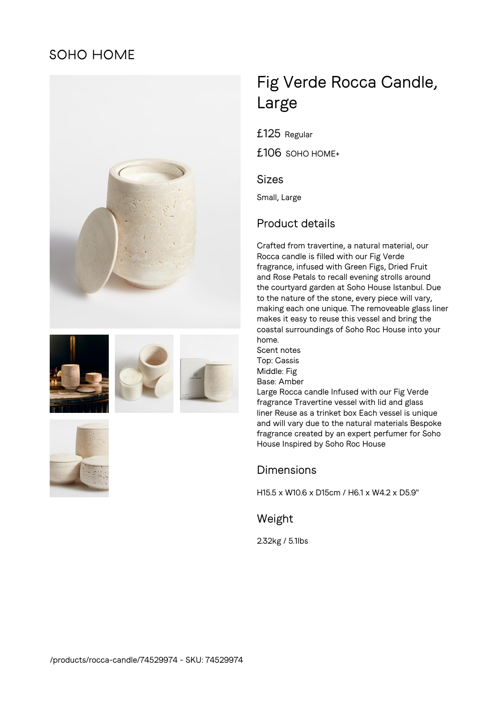## **SOHO HOME**











# Fig Verde Rocca Candle, Large

£125 Regular

£106 SOHO HOME+

#### Sizes

Small, Large

## Product details

Crafted from travertine, a natural material, our Rocca candle is filled with our Fig Verde fragrance, infused with Green Figs, Dried Fruit and Rose Petals to recall evening strolls around the courtyard garden at Soho House Istanbul. Due to the nature of the stone, every piece will vary, making each one unique. The removeable glass liner makes it easy to reuse this vessel and bring the coastal surroundings of Soho Roc House into your home.

Scent notes Top: Cassis Middle: Fig Base: Amber

Large Rocca candle Infused with our Fig Verde fragrance Travertine vessel with lid and glass liner Reuse as a trinket box Each vessel is unique and will vary due to the natural materials Bespoke fragrance created by an expert perfumer for Soho House Inspired by Soho Roc House

### **Dimensions**

H15.5 x W10.6 x D15cm / H6.1 x W4.2 x D5.9"

Weight

2.32kg / 5.1lbs